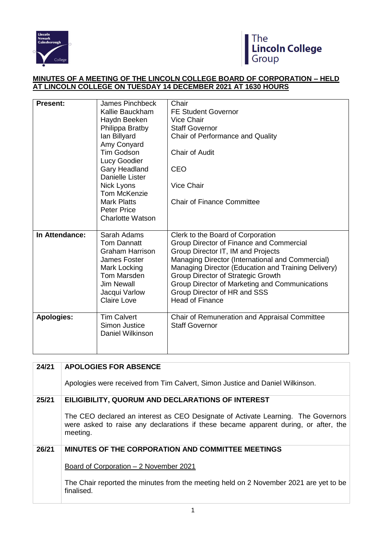



## **MINUTES OF A MEETING OF THE LINCOLN COLLEGE BOARD OF CORPORATION – HELD AT LINCOLN COLLEGE ON TUESDAY 14 DECEMBER 2021 AT 1630 HOURS**

| <b>Present:</b>   | <b>James Pinchbeck</b><br>Kallie Bauckham<br>Haydn Beeken<br>Philippa Bratby<br>lan Billyard<br>Amy Conyard<br><b>Tim Godson</b><br>Lucy Goodier<br>Gary Headland<br><b>Danielle Lister</b><br>Nick Lyons<br><b>Tom McKenzie</b><br><b>Mark Platts</b><br><b>Peter Price</b><br><b>Charlotte Watson</b> | Chair<br><b>FE Student Governor</b><br>Vice Chair<br><b>Staff Governor</b><br>Chair of Performance and Quality<br><b>Chair of Audit</b><br><b>CEO</b><br><b>Vice Chair</b><br><b>Chair of Finance Committee</b>                                                                                                                                                                         |
|-------------------|---------------------------------------------------------------------------------------------------------------------------------------------------------------------------------------------------------------------------------------------------------------------------------------------------------|-----------------------------------------------------------------------------------------------------------------------------------------------------------------------------------------------------------------------------------------------------------------------------------------------------------------------------------------------------------------------------------------|
| In Attendance:    | Sarah Adams<br><b>Tom Dannatt</b><br><b>Graham Harrison</b><br>James Foster<br>Mark Locking<br>Tom Marsden<br><b>Jim Newall</b><br>Jacqui Varlow<br><b>Claire Love</b>                                                                                                                                  | Clerk to the Board of Corporation<br>Group Director of Finance and Commercial<br>Group Director IT, IM and Projects<br>Managing Director (International and Commercial)<br>Managing Director (Education and Training Delivery)<br><b>Group Director of Strategic Growth</b><br>Group Director of Marketing and Communications<br>Group Director of HR and SSS<br><b>Head of Finance</b> |
| <b>Apologies:</b> | <b>Tim Calvert</b><br>Simon Justice<br>Daniel Wilkinson                                                                                                                                                                                                                                                 | Chair of Remuneration and Appraisal Committee<br><b>Staff Governor</b>                                                                                                                                                                                                                                                                                                                  |

| 24/21 | <b>APOLOGIES FOR ABSENCE</b>                                                                                                                                                         |
|-------|--------------------------------------------------------------------------------------------------------------------------------------------------------------------------------------|
|       | Apologies were received from Tim Calvert, Simon Justice and Daniel Wilkinson.                                                                                                        |
| 25/21 | EILIGIBILITY, QUORUM AND DECLARATIONS OF INTEREST                                                                                                                                    |
|       | The CEO declared an interest as CEO Designate of Activate Learning. The Governors<br>were asked to raise any declarations if these became apparent during, or after, the<br>meeting. |
| 26/21 | <b>MINUTES OF THE CORPORATION AND COMMITTEE MEETINGS</b>                                                                                                                             |
|       | Board of Corporation – 2 November 2021                                                                                                                                               |
|       | The Chair reported the minutes from the meeting held on 2 November 2021 are yet to be<br>finalised.                                                                                  |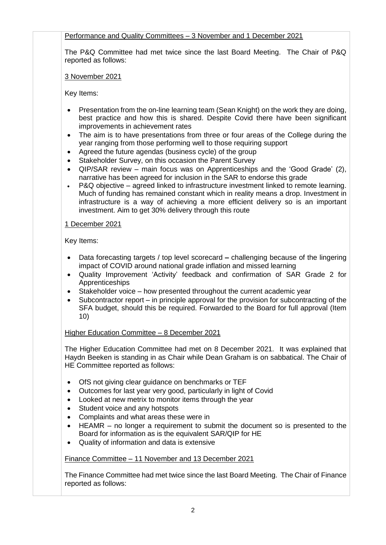Performance and Quality Committees – 3 November and 1 December 2021

The P&Q Committee had met twice since the last Board Meeting. The Chair of P&Q reported as follows:

3 November 2021

Key Items:

- Presentation from the on-line learning team (Sean Knight) on the work they are doing, best practice and how this is shared. Despite Covid there have been significant improvements in achievement rates
- The aim is to have presentations from three or four areas of the College during the year ranging from those performing well to those requiring support
- Agreed the future agendas (business cycle) of the group
- Stakeholder Survey, on this occasion the Parent Survey
- QIP/SAR review main focus was on Apprenticeships and the 'Good Grade' (2), narrative has been agreed for inclusion in the SAR to endorse this grade
- P&Q objective agreed linked to infrastructure investment linked to remote learning. Much of funding has remained constant which in reality means a drop. Investment in infrastructure is a way of achieving a more efficient delivery so is an important investment. Aim to get 30% delivery through this route

## 1 December 2021

Key Items:

- Data forecasting targets / top level scorecard **–** challenging because of the lingering impact of COVID around national grade inflation and missed learning
- Quality Improvement 'Activity' feedback and confirmation of SAR Grade 2 for Apprenticeships
- Stakeholder voice how presented throughout the current academic year
- Subcontractor report in principle approval for the provision for subcontracting of the SFA budget, should this be required. Forwarded to the Board for full approval (Item 10)

# Higher Education Committee – 8 December 2021

The Higher Education Committee had met on 8 December 2021. It was explained that Haydn Beeken is standing in as Chair while Dean Graham is on sabbatical. The Chair of HE Committee reported as follows:

- OfS not giving clear guidance on benchmarks or TEF
- Outcomes for last year very good, particularly in light of Covid
- Looked at new metrix to monitor items through the year
- Student voice and any hotspots
- Complaints and what areas these were in
- HEAMR no longer a requirement to submit the document so is presented to the Board for information as is the equivalent SAR/QIP for HE
- Quality of information and data is extensive

# Finance Committee – 11 November and 13 December 2021

The Finance Committee had met twice since the last Board Meeting. The Chair of Finance reported as follows: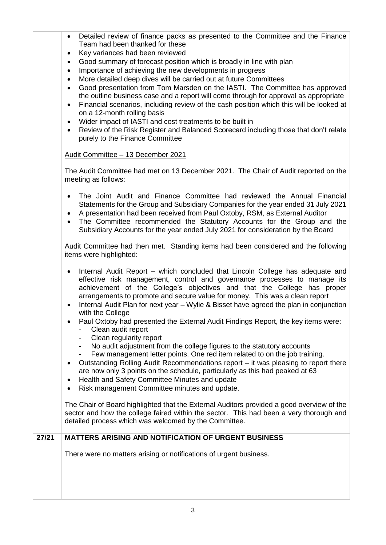- Detailed review of finance packs as presented to the Committee and the Finance Team had been thanked for these
- Key variances had been reviewed
- Good summary of forecast position which is broadly in line with plan
- Importance of achieving the new developments in progress
- More detailed deep dives will be carried out at future Committees
- Good presentation from Tom Marsden on the IASTI. The Committee has approved the outline business case and a report will come through for approval as appropriate
- Financial scenarios, including review of the cash position which this will be looked at on a 12-month rolling basis
- Wider impact of IASTI and cost treatments to be built in
- Review of the Risk Register and Balanced Scorecard including those that don't relate purely to the Finance Committee

## Audit Committee – 13 December 2021

The Audit Committee had met on 13 December 2021. The Chair of Audit reported on the meeting as follows:

- The Joint Audit and Finance Committee had reviewed the Annual Financial Statements for the Group and Subsidiary Companies for the year ended 31 July 2021
- A presentation had been received from Paul Oxtoby, RSM, as External Auditor
- The Committee recommended the Statutory Accounts for the Group and the Subsidiary Accounts for the year ended July 2021 for consideration by the Board

Audit Committee had then met. Standing items had been considered and the following items were highlighted:

- Internal Audit Report which concluded that Lincoln College has adequate and effective risk management, control and governance processes to manage its achievement of the College's objectives and that the College has proper arrangements to promote and secure value for money. This was a clean report
- Internal Audit Plan for next year Wylie & Bisset have agreed the plan in conjunction with the College
- Paul Oxtoby had presented the External Audit Findings Report, the key items were:
	- Clean audit report
	- Clean regularity report
	- No audit adjustment from the college figures to the statutory accounts
	- Few management letter points. One red item related to on the job training.
- Outstanding Rolling Audit Recommendations report it was pleasing to report there are now only 3 points on the schedule, particularly as this had peaked at 63
- Health and Safety Committee Minutes and update
- Risk management Committee minutes and update.

The Chair of Board highlighted that the External Auditors provided a good overview of the sector and how the college faired within the sector. This had been a very thorough and detailed process which was welcomed by the Committee.

# **27/21 MATTERS ARISING AND NOTIFICATION OF URGENT BUSINESS**

There were no matters arising or notifications of urgent business.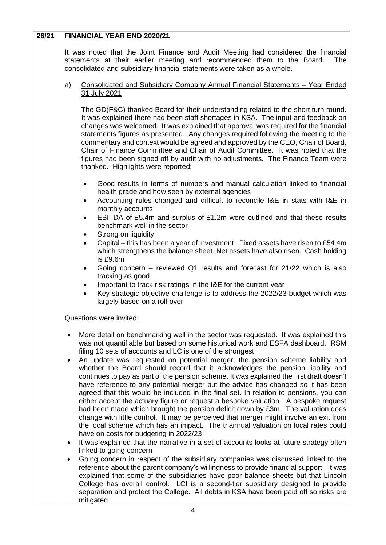## **28/21 FINANCIAL YEAR END 2020/21**

It was noted that the Joint Finance and Audit Meeting had considered the financial statements at their earlier meeting and recommended them to the Board. The consolidated and subsidiary financial statements were taken as a whole.

#### a) Consolidated and Subsidiary Company Annual Financial Statements – Year Ended 31 July 2021

The GD(F&C) thanked Board for their understanding related to the short turn round. It was explained there had been staff shortages in KSA. The input and feedback on changes was welcomed. It was explained that approval was required for the financial statements figures as presented. Any changes required following the meeting to the commentary and context would be agreed and approved by the CEO, Chair of Board, Chair of Finance Committee and Chair of Audit Committee. It was noted that the figures had been signed off by audit with no adjustments. The Finance Team were thanked. Highlights were reported:

- Good results in terms of numbers and manual calculation linked to financial health grade and how seen by external agencies
- Accounting rules changed and difficult to reconcile I&E in stats with I&E in monthly accounts
- EBITDA of £5.4m and surplus of £1.2m were outlined and that these results benchmark well in the sector
- Strong on liquidity
- Capital this has been a year of investment. Fixed assets have risen to £54.4m which strengthens the balance sheet. Net assets have also risen. Cash holding is £9.6m
- Going concern reviewed Q1 results and forecast for 21/22 which is also tracking as good
- Important to track risk ratings in the I&E for the current year
- Key strategic objective challenge is to address the 2022/23 budget which was largely based on a roll-over

Questions were invited:

- More detail on benchmarking well in the sector was requested. It was explained this was not quantifiable but based on some historical work and ESFA dashboard. RSM filing 10 sets of accounts and LC is one of the strongest
- An update was requested on potential merger, the pension scheme liability and whether the Board should record that it acknowledges the pension liability and continues to pay as part of the pension scheme. It was explained the first draft doesn't have reference to any potential merger but the advice has changed so it has been agreed that this would be included in the final set. In relation to pensions, you can either accept the actuary figure or request a bespoke valuation. A bespoke request had been made which brought the pension deficit down by £3m. The valuation does change with little control. It may be perceived that merger might involve an exit from the local scheme which has an impact. The triannual valuation on local rates could have on costs for budgeting in 2022/23
- It was explained that the narrative in a set of accounts looks at future strategy often linked to going concern
- Going concern in respect of the subsidiary companies was discussed linked to the reference about the parent company's willingness to provide financial support. It was explained that some of the subsidiaries have poor balance sheets but that Lincoln College has overall control. LCI is a second-tier subsidiary designed to provide separation and protect the College. All debts in KSA have been paid off so risks are mitigated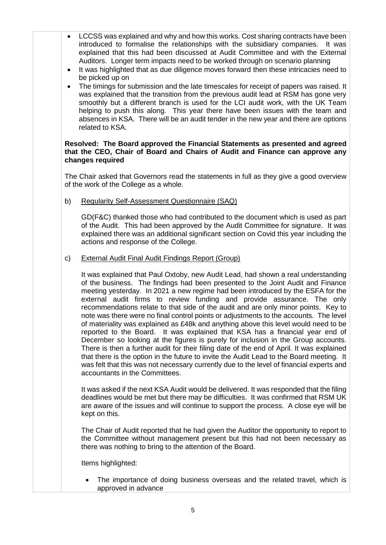- LCCSS was explained and why and how this works. Cost sharing contracts have been introduced to formalise the relationships with the subsidiary companies. It was explained that this had been discussed at Audit Committee and with the External Auditors. Longer term impacts need to be worked through on scenario planning
- It was highlighted that as due diligence moves forward then these intricacies need to be picked up on
- The timings for submission and the late timescales for receipt of papers was raised. It was explained that the transition from the previous audit lead at RSM has gone very smoothly but a different branch is used for the LCI audit work, with the UK Team helping to push this along. This year there have been issues with the team and absences in KSA. There will be an audit tender in the new year and there are options related to KSA.

#### **Resolved: The Board approved the Financial Statements as presented and agreed that the CEO, Chair of Board and Chairs of Audit and Finance can approve any changes required**

The Chair asked that Governors read the statements in full as they give a good overview of the work of the College as a whole.

b) Regularity Self-Assessment Questionnaire (SAQ)

GD(F&C) thanked those who had contributed to the document which is used as part of the Audit. This had been approved by the Audit Committee for signature. It was explained there was an additional significant section on Covid this year including the actions and response of the College.

c) External Audit Final Audit Findings Report (Group)

It was explained that Paul Oxtoby, new Audit Lead, had shown a real understanding of the business. The findings had been presented to the Joint Audit and Finance meeting yesterday. In 2021 a new regime had been introduced by the ESFA for the external audit firms to review funding and provide assurance. The only recommendations relate to that side of the audit and are only minor points. Key to note was there were no final control points or adjustments to the accounts. The level of materiality was explained as £48k and anything above this level would need to be reported to the Board. It was explained that KSA has a financial year end of December so looking at the figures is purely for inclusion in the Group accounts. There is then a further audit for their filing date of the end of April. It was explained that there is the option in the future to invite the Audit Lead to the Board meeting. It was felt that this was not necessary currently due to the level of financial experts and accountants in the Committees.

It was asked if the next KSA Audit would be delivered. It was responded that the filing deadlines would be met but there may be difficulties. It was confirmed that RSM UK are aware of the issues and will continue to support the process. A close eye will be kept on this.

The Chair of Audit reported that he had given the Auditor the opportunity to report to the Committee without management present but this had not been necessary as there was nothing to bring to the attention of the Board.

Items highlighted:

• The importance of doing business overseas and the related travel, which is approved in advance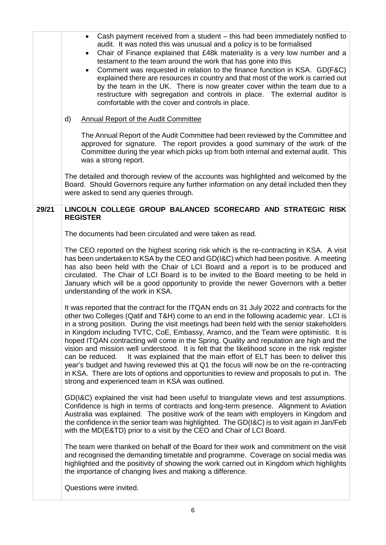|       | Cash payment received from a student – this had been immediately notified to<br>$\bullet$<br>audit. It was noted this was unusual and a policy is to be formalised<br>Chair of Finance explained that £48k materiality is a very low number and a<br>$\bullet$<br>testament to the team around the work that has gone into this<br>Comment was requested in relation to the finance function in KSA. GD(F&C)<br>٠<br>explained there are resources in country and that most of the work is carried out<br>by the team in the UK. There is now greater cover within the team due to a<br>restructure with segregation and controls in place. The external auditor is<br>comfortable with the cover and controls in place.<br><b>Annual Report of the Audit Committee</b><br>d)                                                                                                                                                                                                                                                                                                                                                                                                                                                                                                                                                                                                                                                                                                                                                                                       |
|-------|---------------------------------------------------------------------------------------------------------------------------------------------------------------------------------------------------------------------------------------------------------------------------------------------------------------------------------------------------------------------------------------------------------------------------------------------------------------------------------------------------------------------------------------------------------------------------------------------------------------------------------------------------------------------------------------------------------------------------------------------------------------------------------------------------------------------------------------------------------------------------------------------------------------------------------------------------------------------------------------------------------------------------------------------------------------------------------------------------------------------------------------------------------------------------------------------------------------------------------------------------------------------------------------------------------------------------------------------------------------------------------------------------------------------------------------------------------------------------------------------------------------------------------------------------------------------|
|       | The Annual Report of the Audit Committee had been reviewed by the Committee and<br>approved for signature. The report provides a good summary of the work of the<br>Committee during the year which picks up from both internal and external audit. This<br>was a strong report.                                                                                                                                                                                                                                                                                                                                                                                                                                                                                                                                                                                                                                                                                                                                                                                                                                                                                                                                                                                                                                                                                                                                                                                                                                                                                    |
|       | The detailed and thorough review of the accounts was highlighted and welcomed by the<br>Board. Should Governors require any further information on any detail included then they<br>were asked to send any queries through.                                                                                                                                                                                                                                                                                                                                                                                                                                                                                                                                                                                                                                                                                                                                                                                                                                                                                                                                                                                                                                                                                                                                                                                                                                                                                                                                         |
| 29/21 | LINCOLN COLLEGE GROUP BALANCED SCORECARD AND STRATEGIC RISK<br><b>REGISTER</b><br>The documents had been circulated and were taken as read.<br>The CEO reported on the highest scoring risk which is the re-contracting in KSA. A visit<br>has been undertaken to KSA by the CEO and GD(I&C) which had been positive. A meeting<br>has also been held with the Chair of LCI Board and a report is to be produced and<br>circulated. The Chair of LCI Board is to be invited to the Board meeting to be held in<br>January which will be a good opportunity to provide the newer Governors with a better<br>understanding of the work in KSA.<br>It was reported that the contract for the ITQAN ends on 31 July 2022 and contracts for the<br>other two Colleges (Qatif and T&H) come to an end in the following academic year. LCI is<br>in a strong position. During the visit meetings had been held with the senior stakeholders<br>in Kingdom including TVTC, CoE, Embassy, Aramco, and the Team were optimistic. It is<br>hoped ITQAN contracting will come in the Spring. Quality and reputation are high and the<br>vision and mission well understood. It is felt that the likelihood score in the risk register<br>It was explained that the main effort of ELT has been to deliver this<br>can be reduced.<br>year's budget and having reviewed this at Q1 the focus will now be on the re-contracting<br>in KSA. There are lots of options and opportunities to review and proposals to put in. The<br>strong and experienced team in KSA was outlined. |
|       | GD(I&C) explained the visit had been useful to triangulate views and test assumptions.<br>Confidence is high in terms of contracts and long-term presence. Alignment to Aviation<br>Australia was explained. The positive work of the team with employers in Kingdom and<br>the confidence in the senior team was highlighted. The GD(I&C) is to visit again in Jan/Feb<br>with the MD(E&TD) prior to a visit by the CEO and Chair of LCI Board.                                                                                                                                                                                                                                                                                                                                                                                                                                                                                                                                                                                                                                                                                                                                                                                                                                                                                                                                                                                                                                                                                                                    |
|       | The team were thanked on behalf of the Board for their work and commitment on the visit<br>and recognised the demanding timetable and programme. Coverage on social media was<br>highlighted and the positivity of showing the work carried out in Kingdom which highlights<br>the importance of changing lives and making a difference.                                                                                                                                                                                                                                                                                                                                                                                                                                                                                                                                                                                                                                                                                                                                                                                                                                                                                                                                                                                                                                                                                                                                                                                                                            |
|       | Questions were invited.                                                                                                                                                                                                                                                                                                                                                                                                                                                                                                                                                                                                                                                                                                                                                                                                                                                                                                                                                                                                                                                                                                                                                                                                                                                                                                                                                                                                                                                                                                                                             |
|       | 6                                                                                                                                                                                                                                                                                                                                                                                                                                                                                                                                                                                                                                                                                                                                                                                                                                                                                                                                                                                                                                                                                                                                                                                                                                                                                                                                                                                                                                                                                                                                                                   |